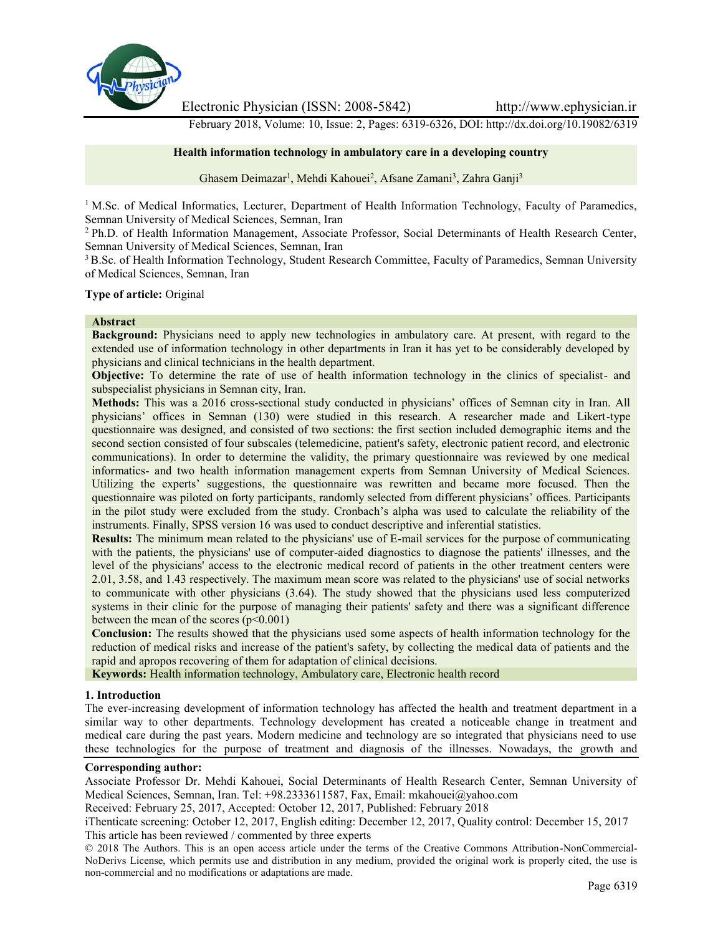

Electronic Physician (ISSN: 2008-5842) http://www.ephysician.ir

February 2018, Volume: 10, Issue: 2, Pages: 6319-6326, DOI: http://dx.doi.org/10.19082/6319

### **Health information technology in ambulatory care in a developing country**

Ghasem Deimazar<sup>1</sup>, Mehdi Kahouei<sup>2</sup>, Afsane Zamani<sup>3</sup>, Zahra Ganji<sup>3</sup>

<sup>1</sup> M.Sc. of Medical Informatics, Lecturer, Department of Health Information Technology, Faculty of Paramedics, Semnan University of Medical Sciences, Semnan, Iran

<sup>2</sup> Ph.D. of Health Information Management, Associate Professor, Social Determinants of Health Research Center, Semnan University of Medical Sciences, Semnan, Iran

<sup>3</sup> B.Sc. of Health Information Technology, Student Research Committee, Faculty of Paramedics, Semnan University of Medical Sciences, Semnan, Iran

**Type of article:** Original

#### **Abstract**

**Background:** Physicians need to apply new technologies in ambulatory care. At present, with regard to the extended use of information technology in other departments in Iran it has yet to be considerably developed by physicians and clinical technicians in the health department.

**Objective:** To determine the rate of use of health information technology in the clinics of specialist- and subspecialist physicians in Semnan city, Iran.

**Methods:** This was a 2016 cross-sectional study conducted in physicians' offices of Semnan city in Iran. All physicians' offices in Semnan (130) were studied in this research. A researcher made and Likert-type questionnaire was designed, and consisted of two sections: the first section included demographic items and the second section consisted of four subscales (telemedicine, patient's safety, electronic patient record, and electronic communications). In order to determine the validity, the primary questionnaire was reviewed by one medical informatics- and two health information management experts from Semnan University of Medical Sciences. Utilizing the experts' suggestions, the questionnaire was rewritten and became more focused. Then the questionnaire was piloted on forty participants, randomly selected from different physicians' offices. Participants in the pilot study were excluded from the study. Cronbach's alpha was used to calculate the reliability of the instruments. Finally, SPSS version 16 was used to conduct descriptive and inferential statistics.

**Results:** The minimum mean related to the physicians' use of E-mail services for the purpose of communicating with the patients, the physicians' use of computer-aided diagnostics to diagnose the patients' illnesses, and the level of the physicians' access to the electronic medical record of patients in the other treatment centers were 2.01, 3.58, and 1.43 respectively. The maximum mean score was related to the physicians' use of social networks to communicate with other physicians (3.64). The study showed that the physicians used less computerized systems in their clinic for the purpose of managing their patients' safety and there was a significant difference between the mean of the scores  $(p<0.001)$ 

**Conclusion:** The results showed that the physicians used some aspects of health information technology for the reduction of medical risks and increase of the patient's safety, by collecting the medical data of patients and the rapid and apropos recovering of them for adaptation of clinical decisions.

**Keywords:** Health information technology, Ambulatory care, Electronic health record

### **1. Introduction**

The ever-increasing development of information technology has affected the health and treatment department in a similar way to other departments. Technology development has created a noticeable change in treatment and medical care during the past years. Modern medicine and technology are so integrated that physicians need to use these technologies for the purpose of treatment and diagnosis of the illnesses. Nowadays, the growth and

#### **Corresponding author:**

Associate Professor Dr. Mehdi Kahouei, Social Determinants of Health Research Center, Semnan University of Medical Sciences, Semnan, Iran. Tel: +98.2333611587, Fax, Email: mkahouei@yahoo.com

Received: February 25, 2017, Accepted: October 12, 2017, Published: February 2018

iThenticate screening: October 12, 2017, English editing: December 12, 2017, Quality control: December 15, 2017 This article has been reviewed / commented by three experts

© 2018 The Authors. This is an open access article under the terms of the Creative Commons Attribution-NonCommercial- NoDerivs License, which permits use and distribution in any medium, provided the original work is properly cited, the use is non-commercial and no modifications or adaptations are made.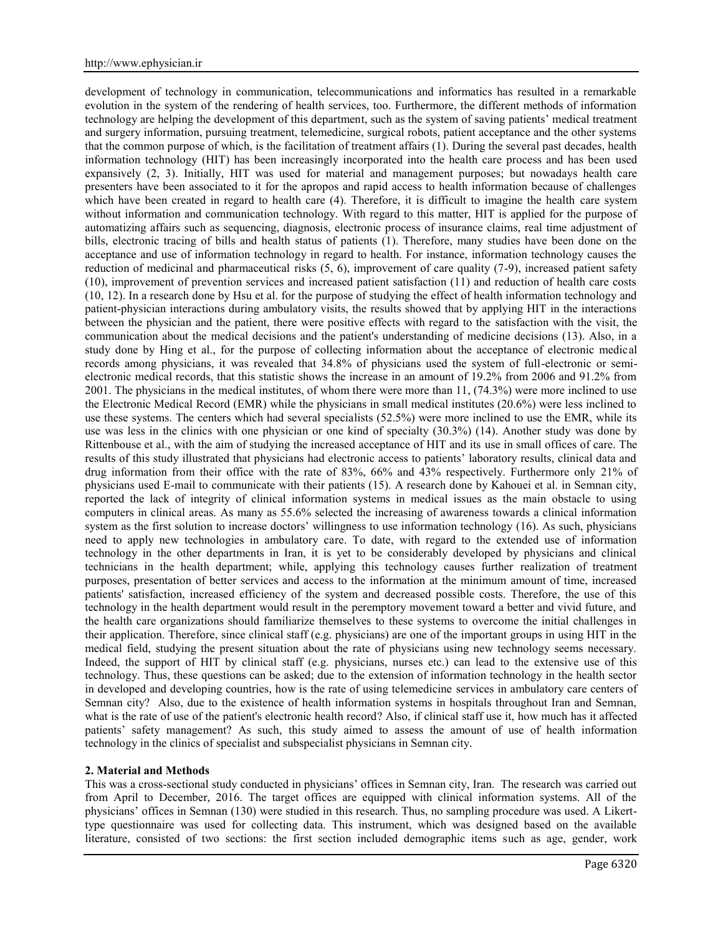development of technology in communication, telecommunications and informatics has resulted in a remarkable evolution in the system of the rendering of health services, too. Furthermore, the different methods of information technology are helping the development of this department, such as the system of saving patients' medical treatment and surgery information, pursuing treatment, telemedicine, surgical robots, patient acceptance and the other systems that the common purpose of which, is the facilitation of treatment affairs (1). During the several past decades, health information technology (HIT) has been increasingly incorporated into the health care process and has been used expansively (2, 3). Initially, HIT was used for material and management purposes; but nowadays health care presenters have been associated to it for the apropos and rapid access to health information because of challenges which have been created in regard to health care (4). Therefore, it is difficult to imagine the health care system without information and communication technology. With regard to this matter, HIT is applied for the purpose of automatizing affairs such as sequencing, diagnosis, electronic process of insurance claims, real time adjustment of bills, electronic tracing of bills and health status of patients (1). Therefore, many studies have been done on the acceptance and use of information technology in regard to health. For instance, information technology causes the reduction of medicinal and pharmaceutical risks (5, 6), improvement of care quality (7-9), increased patient safety (10), improvement of prevention services and increased patient satisfaction (11) and reduction of health care costs (10, 12). In a research done by Hsu et al. for the purpose of studying the effect of health information technology and patient-physician interactions during ambulatory visits, the results showed that by applying HIT in the interactions between the physician and the patient, there were positive effects with regard to the satisfaction with the visit, the communication about the medical decisions and the patient's understanding of medicine decisions (13). Also, in a study done by Hing et al., for the purpose of collecting information about the acceptance of electronic medical records among physicians, it was revealed that 34.8% of physicians used the system of full-electronic or semi electronic medical records, that this statistic shows the increase in an amount of 19.2% from 2006 and 91.2% from 2001. The physicians in the medical institutes, of whom there were more than 11, (74.3%) were more inclined to use the Electronic Medical Record (EMR) while the physicians in small medical institutes (20.6%) were less inclined to use these systems. The centers which had several specialists (52.5%) were more inclined to use the EMR, while its use was less in the clinics with one physician or one kind of specialty (30.3%) (14). Another study was done by Rittenbouse et al., with the aim of studying the increased acceptance of HIT and its use in small offices of care. The results of this study illustrated that physicians had electronic access to patients' laboratory results, clinical data and drug information from their office with the rate of 83%, 66% and 43% respectively. Furthermore only 21% of physicians used E-mail to communicate with their patients (15). A research done by Kahouei et al. in Semnan city, reported the lack of integrity of clinical information systems in medical issues as the main obstacle to using computers in clinical areas. As many as 55.6% selected the increasing of awareness towards a clinical information system as the first solution to increase doctors' willingness to use information technology (16). As such, physicians need to apply new technologies in ambulatory care. To date, with regard to the extended use of information technology in the other departments in Iran, it is yet to be considerably developed by physicians and clinical technicians in the health department; while, applying this technology causes further realization of treatment purposes, presentation of better services and access to the information at the minimum amount of time, increased patients' satisfaction, increased efficiency of the system and decreased possible costs. Therefore, the use of this technology in the health department would result in the peremptory movement toward a better and vivid future, and the health care organizations should familiarize themselves to these systems to overcome the initial challenges in their application. Therefore, since clinical staff (e.g. physicians) are one of the important groups in using HIT in the medical field, studying the present situation about the rate of physicians using new technology seems necessary. Indeed, the support of HIT by clinical staff (e.g. physicians, nurses etc.) can lead to the extensive use of this technology. Thus, these questions can be asked; due to the extension of information technology in the health sector in developed and developing countries, how is the rate of using telemedicine services in ambulatory care centers of Semnan city? Also, due to the existence of health information systems in hospitals throughout Iran and Semnan, what is the rate of use of the patient's electronic health record? Also, if clinical staff use it, how much has it affected patients' safety management? As such, this study aimed to assess the amount of use of health information technology in the clinics of specialist and subspecialist physicians in Semnan city.

### **2. Material and Methods**

This was a cross-sectional study conducted in physicians' offices in Semnan city, Iran. The research was carried out from April to December, 2016. The target offices are equipped with clinical information systems. All of the physicians' offices in Semnan (130) were studied in this research. Thus, no sampling procedure was used. A Likerttype questionnaire was used for collecting data. This instrument, which was designed based on the available literature, consisted of two sections: the first section included demographic items such as age, gender, work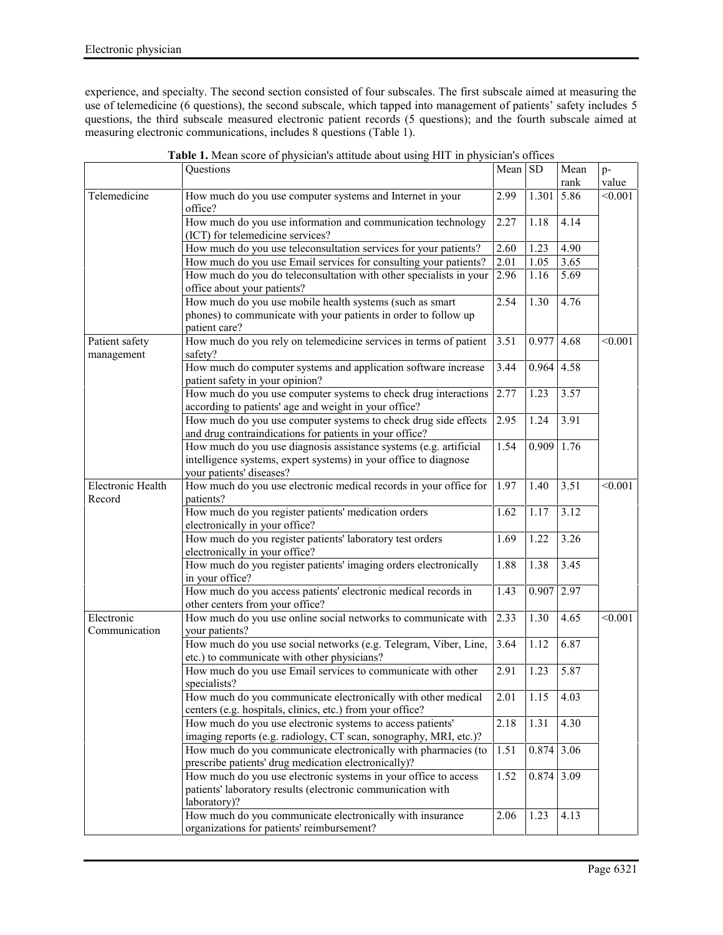experience, and specialty. The second section consisted of four subscales. The first subscale aimed at measuring the use of telemedicine (6 questions), the second subscale, which tapped into management of patients' safety includes 5 questions, the third subscale measured electronic patient records (5 questions); and the fourth subscale aimed at measuring electronic communications, includes 8 questions (Table 1).

|                              | Questions                                                                                                                                                         | Mean SD        |              | Mean<br>rank | p-<br>value |
|------------------------------|-------------------------------------------------------------------------------------------------------------------------------------------------------------------|----------------|--------------|--------------|-------------|
| Telemedicine                 | How much do you use computer systems and Internet in your                                                                                                         | 2.99           | 1.301        | 5.86         | < 0.001     |
|                              | office?<br>How much do you use information and communication technology<br>(ICT) for telemedicine services?                                                       | 2.27           | 1.18         | 4.14         |             |
|                              | How much do you use teleconsultation services for your patients?                                                                                                  | 2.60           | 1.23         | 4.90         |             |
|                              | How much do you use Email services for consulting your patients?                                                                                                  | 2.01           | 1.05         | 3.65         |             |
|                              | How much do you do teleconsultation with other specialists in your<br>office about your patients?                                                                 | 2.96           | 1.16         | 5.69         |             |
|                              | How much do you use mobile health systems (such as smart<br>phones) to communicate with your patients in order to follow up<br>patient care?                      | 2.54           | 1.30         | 4.76         |             |
| Patient safety<br>management | How much do you rely on telemedicine services in terms of patient<br>safety?                                                                                      | 3.51           | $0.977$ 4.68 |              | < 0.001     |
|                              | How much do computer systems and application software increase<br>patient safety in your opinion?                                                                 | 3.44           | 0.964        | 4.58         |             |
|                              | How much do you use computer systems to check drug interactions<br>according to patients' age and weight in your office?                                          | 2.77           | 1.23         | 3.57         |             |
|                              | How much do you use computer systems to check drug side effects<br>and drug contraindications for patients in your office?                                        | 2.95           | 1.24         | 3.91         |             |
|                              | How much do you use diagnosis assistance systems (e.g. artificial<br>intelligence systems, expert systems) in your office to diagnose<br>your patients' diseases? | 1.54           | 0.909        | 1.76         |             |
| Electronic Health<br>Record  | How much do you use electronic medical records in your office for<br>patients?                                                                                    | 1.97           | 1.40         | 3.51         | < 0.001     |
|                              | How much do you register patients' medication orders<br>electronically in your office?                                                                            | 1.62           | 1.17         | 3.12         |             |
|                              | How much do you register patients' laboratory test orders<br>electronically in your office?                                                                       | 1.69           | 1.22         | 3.26         |             |
|                              | How much do you register patients' imaging orders electronically<br>in your office?                                                                               | 1.88           | 1.38         | 3.45         |             |
|                              | How much do you access patients' electronic medical records in<br>other centers from your office?                                                                 | 1.43           | $0.907$ 2.97 |              |             |
| Electronic<br>Communication  | How much do you use online social networks to communicate with<br>your patients?                                                                                  | 2.33           | 1.30         | 4.65         | < 0.001     |
|                              | How much do you use social networks (e.g. Telegram, Viber, Line,<br>etc.) to communicate with other physicians?                                                   | 3.64           | 1.12         | 6.87         |             |
|                              | How much do you use Email services to communicate with other<br>specialists?                                                                                      | 2.91           | 1.23         | 5.87         |             |
|                              | How much do you communicate electronically with other medical<br>centers (e.g. hospitals, clinics, etc.) from your office?                                        | $\boxed{2.01}$ | 1.15         | 4.03         |             |
|                              | How much do you use electronic systems to access patients'<br>imaging reports (e.g. radiology, CT scan, sonography, MRI, etc.)?                                   | 2.18           | 1.31         | 4.30         |             |
|                              | How much do you communicate electronically with pharmacies (to<br>prescribe patients' drug medication electronically)?                                            | 1.51           | $0.874$ 3.06 |              |             |
|                              | How much do you use electronic systems in your office to access<br>patients' laboratory results (electronic communication with<br>laboratory)?                    | 1.52           | $0.874$ 3.09 |              |             |
|                              | How much do you communicate electronically with insurance<br>organizations for patients' reimbursement?                                                           | 2.06           | 1.23         | 4.13         |             |

**Table 1.** Mean score of physician's attitude about using HIT in physician's offices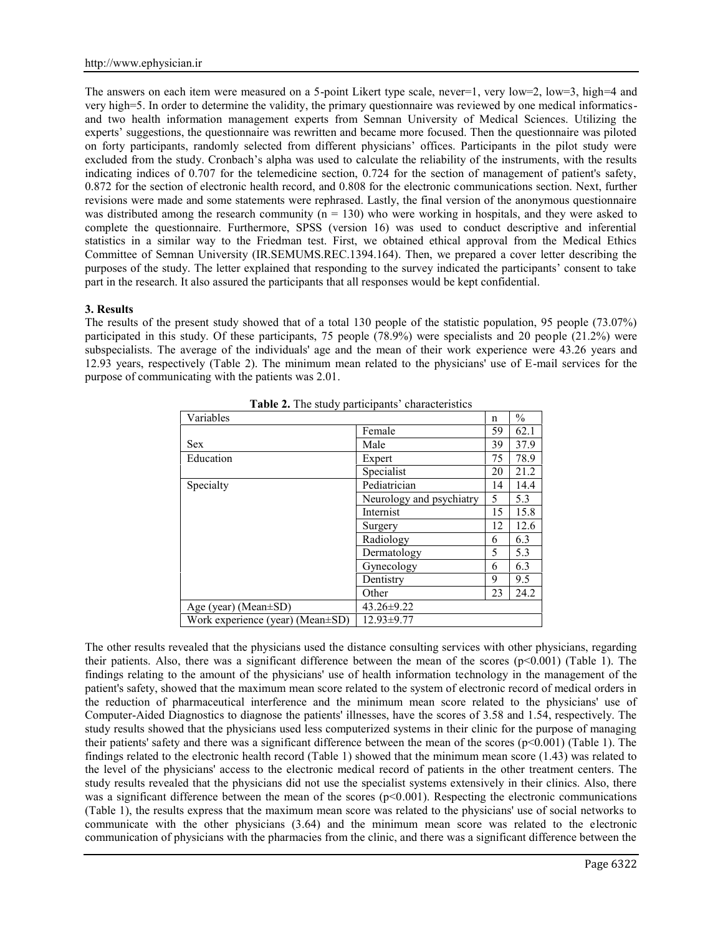The answers on each item were measured on a 5-point Likert type scale, never=1, very low=2, low=3, high=4 and very high=5. In order to determine the validity, the primary questionnaire was reviewed by one medical informatics and two health information management experts from Semnan University of Medical Sciences. Utilizing the experts' suggestions, the questionnaire was rewritten and became more focused. Then the questionnaire was piloted on forty participants, randomly selected from different physicians' offices. Participants in the pilot study were excluded from the study. Cronbach's alpha was used to calculate the reliability of the instruments, with the results indicating indices of 0.707 for the telemedicine section, 0.724 for the section of management of patient's safety, 0.872 for the section of electronic health record, and 0.808 for the electronic communications section. Next, further revisions were made and some statements were rephrased. Lastly, the final version of the anonymous questionnaire was distributed among the research community ( $n = 130$ ) who were working in hospitals, and they were asked to complete the questionnaire. Furthermore, SPSS (version 16) was used to conduct descriptive and inferential statistics in a similar way to the Friedman test. First, we obtained ethical approval from the Medical Ethics Committee of Semnan University (IR.SEMUMS.REC.1394.164). Then, we prepared a cover letter describing the purposes of the study. The letter explained that responding to the survey indicated the participants' consent to take part in the research. It also assured the participants that all responses would be kept confidential.

### **3. Results**

The results of the present study showed that of a total 130 people of the statistic population, 95 people (73.07%) participated in this study. Of these participants, 75 people (78.9%) were specialists and 20 people (21.2%) were subspecialists. The average of the individuals' age and the mean of their work experience were 43.26 years and 12.93 years, respectively (Table 2). The minimum mean related to the physicians' use of E-mail services for the purpose of communicating with the patients was 2.01.

| <b>Habit 2.</b> The staat participants enaracteristics |                          |    |               |  |  |  |
|--------------------------------------------------------|--------------------------|----|---------------|--|--|--|
| Variables                                              |                          |    | $\frac{0}{0}$ |  |  |  |
|                                                        | Female                   | 59 | 62.1          |  |  |  |
| <b>Sex</b>                                             | Male                     | 39 | 37.9          |  |  |  |
| Education                                              | Expert                   | 75 | 78.9          |  |  |  |
|                                                        | Specialist               | 20 | 21.2          |  |  |  |
| Specialty                                              | Pediatrician             | 14 | 14.4          |  |  |  |
|                                                        | Neurology and psychiatry | 5  | 5.3           |  |  |  |
|                                                        | Internist                | 15 | 15.8          |  |  |  |
|                                                        | Surgery                  | 12 | 12.6          |  |  |  |
|                                                        | Radiology                | 6  | 6.3           |  |  |  |
|                                                        | Dermatology              | 5  | 5.3           |  |  |  |
|                                                        | Gynecology               | 6  | 6.3           |  |  |  |
|                                                        | Dentistry                | 9  | 9.5           |  |  |  |
|                                                        | Other                    | 23 | 24.2          |  |  |  |
| Age (year) (Mean±SD)                                   | $43.26 \pm 9.22$         |    |               |  |  |  |
| Work experience (year) (Mean $\pm$ SD)                 | $12.93 \pm 9.77$         |    |               |  |  |  |

**Table 2.** The study participants' characteristics

The other results revealed that the physicians used the distance consulting services with other physicians, regarding their patients. Also, there was a significant difference between the mean of the scores  $(p<0.001)$  (Table 1). The findings relating to the amount of the physicians' use of health information technology in the management of the patient's safety, showed that the maximum mean score related to the system of electronic record of medical orders in the reduction of pharmaceutical interference and the minimum mean score related to the physicians' use of Computer-Aided Diagnostics to diagnose the patients' illnesses, have the scores of 3.58 and 1.54, respectively. The study results showed that the physicians used less computerized systems in their clinic for the purpose of managing their patients' safety and there was a significant difference between the mean of the scores (p<0.001) (Table 1). The findings related to the electronic health record (Table 1) showed that the minimum mean score (1.43) was related to the level of the physicians' access to the electronic medical record of patients in the other treatment centers. The study results revealed that the physicians did not use the specialist systems extensively in their clinics. Also, there was a significant difference between the mean of the scores  $(p<0.001)$ . Respecting the electronic communications (Table 1), the results express that the maximum mean score was related to the physicians' use of social networks to communicate with the other physicians (3.64) and the minimum mean score was related to the electronic communication of physicians with the pharmacies from the clinic, and there was a significant difference between the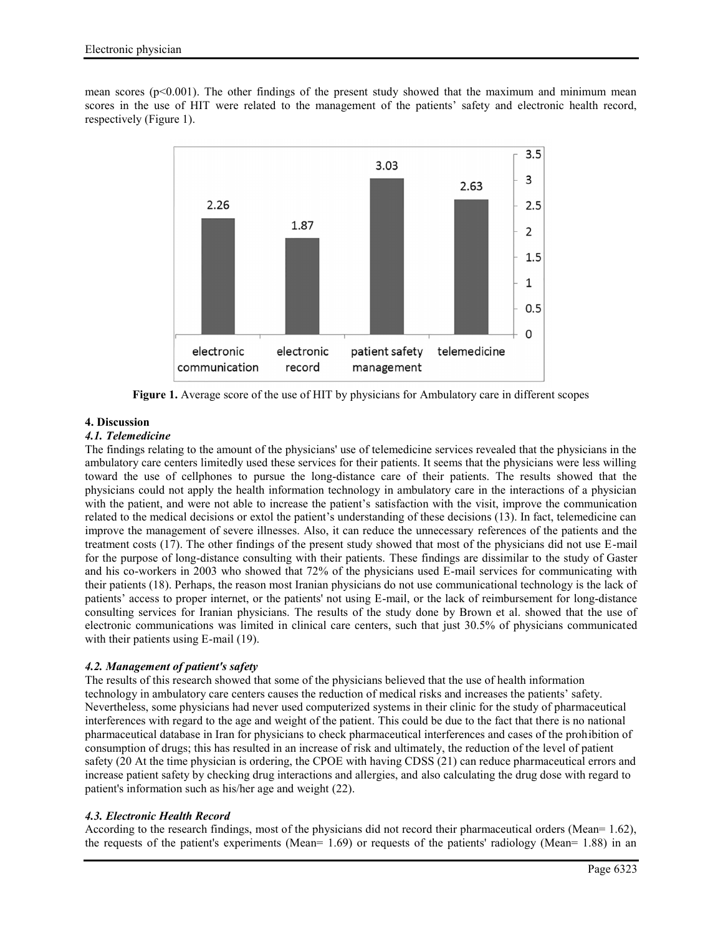mean scores ( $p<0.001$ ). The other findings of the present study showed that the maximum and minimum mean scores in the use of HIT were related to the management of the patients' safety and electronic health record, respectively (Figure 1).



**Figure 1.** Average score of the use of HIT by physicians for Ambulatory care in different scopes

# **4. Discussion**

## *4.1. Telemedicine*

The findings relating to the amount of the physicians' use of telemedicine services revealed that the physicians in the ambulatory care centers limitedly used these services for their patients. It seems that the physicians were less willing toward the use of cellphones to pursue the long-distance care of their patients. The results showed that the physicians could not apply the health information technology in ambulatory care in the interactions of a physician with the patient, and were not able to increase the patient's satisfaction with the visit, improve the communication related to the medical decisions or extol the patient's understanding of these decisions (13). In fact, telemedicine can improve the management of severe illnesses. Also, it can reduce the unnecessary references of the patients and the treatment costs (17). The other findings of the present study showed that most of the physicians did not use E-mail for the purpose of long-distance consulting with their patients. These findings are dissimilar to the study of Gaster and his co-workers in 2003 who showed that 72% of the physicians used E-mail services for communicating with their patients (18). Perhaps, the reason most Iranian physicians do not use communicational technology is the lack of patients' access to proper internet, or the patients' not using E-mail, or the lack of reimbursement for long-distance consulting services for Iranian physicians. The results of the study done by Brown et al. showed that the use of electronic communications was limited in clinical care centers, such that just 30.5% of physicians communicated with their patients using E-mail (19).

### *4.2. Management of patient's safety*

The results of this research showed that some of the physicians believed that the use of health information technology in ambulatory care centers causes the reduction of medical risks and increases the patients' safety. Nevertheless, some physicians had never used computerized systems in their clinic for the study of pharmaceutical interferences with regard to the age and weight of the patient. This could be due to the fact that there is no national pharmaceutical database in Iran for physicians to check pharmaceutical interferences and cases of the prohibition of consumption of drugs; this has resulted in an increase of risk and ultimately, the reduction of the level of patient safety (20 At the time physician is ordering, the CPOE with having CDSS (21) can reduce pharmaceutical errors and increase patient safety by checking drug interactions and allergies, and also calculating the drug dose with regard to patient's information such as his/her age and weight (22).

### *4.3. Electronic Health Record*

According to the research findings, most of the physicians did not record their pharmaceutical orders (Mean= 1.62), the requests of the patient's experiments (Mean= 1.69) or requests of the patients' radiology (Mean= 1.88) in an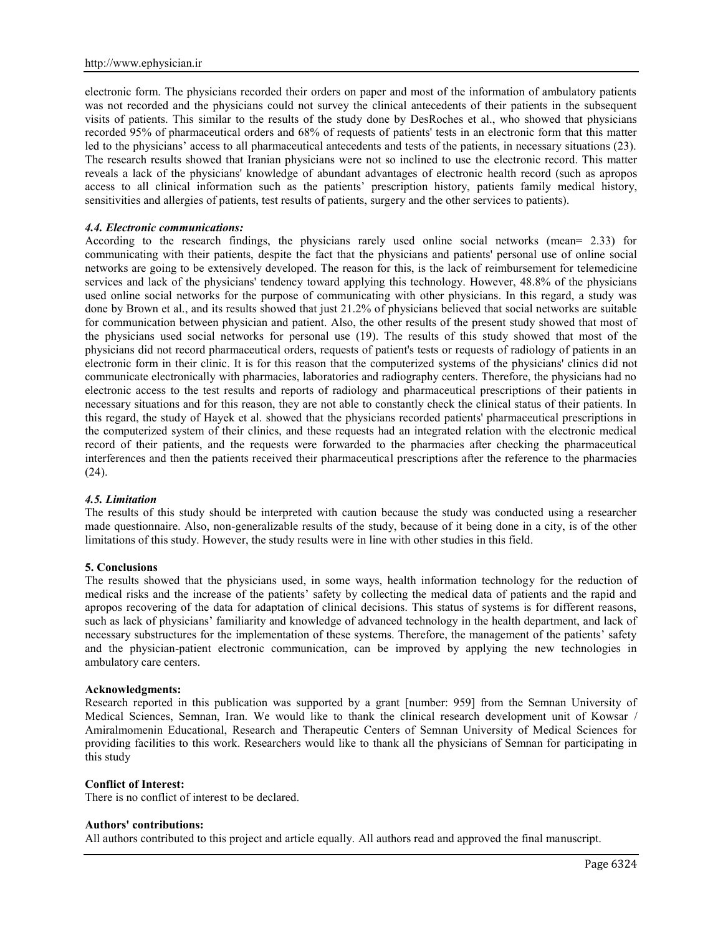electronic form. The physicians recorded their orders on paper and most of the information of ambulatory patients was not recorded and the physicians could not survey the clinical antecedents of their patients in the subsequent visits of patients. This similar to the results of the study done by DesRoches et al., who showed that physicians recorded 95% of pharmaceutical orders and 68% of requests of patients' tests in an electronic form that this matter led to the physicians' access to all pharmaceutical antecedents and tests of the patients, in necessary situations (23). The research results showed that Iranian physicians were not so inclined to use the electronic record. This matter reveals a lack of the physicians' knowledge of abundant advantages of electronic health record (such as apropos access to all clinical information such as the patients' prescription history, patients family medical history, sensitivities and allergies of patients, test results of patients, surgery and the other services to patients).

### *4.4. Electronic communications:*

According to the research findings, the physicians rarely used online social networks (mean= 2.33) for communicating with their patients, despite the fact that the physicians and patients' personal use of online social networks are going to be extensively developed. The reason for this, is the lack of reimbursement for telemedicine services and lack of the physicians' tendency toward applying this technology. However, 48.8% of the physicians used online social networks for the purpose of communicating with other physicians. In this regard, a study was done by Brown et al., and its results showed that just 21.2% of physicians believed that social networks are suitable for communication between physician and patient. Also, the other results of the present study showed that most of the physicians used social networks for personal use (19). The results of this study showed that most of the physicians did not record pharmaceutical orders, requests of patient's tests or requests of radiology of patients in an electronic form in their clinic. It is for this reason that the computerized systems of the physicians' clinics did not communicate electronically with pharmacies, laboratories and radiography centers. Therefore, the physicians had no electronic access to the test results and reports of radiology and pharmaceutical prescriptions of their patients in necessary situations and for this reason, they are not able to constantly check the clinical status of their patients. In this regard, the study of Hayek et al. showed that the physicians recorded patients' pharmaceutical prescriptions in the computerized system of their clinics, and these requests had an integrated relation with the electronic medical record of their patients, and the requests were forwarded to the pharmacies after checking the pharmaceutical interferences and then the patients received their pharmaceutical prescriptions after the reference to the pharmacies (24).

### *4.5. Limitation*

The results of this study should be interpreted with caution because the study was conducted using a researcher made questionnaire. Also, non-generalizable results of the study, because of it being done in a city, is of the other limitations of this study. However, the study results were in line with other studies in this field.

### **5. Conclusions**

The results showed that the physicians used, in some ways, health information technology for the reduction of medical risks and the increase of the patients' safety by collecting the medical data of patients and the rapid and apropos recovering of the data for adaptation of clinical decisions. This status of systems is for different reasons, such as lack of physicians' familiarity and knowledge of advanced technology in the health department, and lack of necessary substructures for the implementation of these systems. Therefore, the management of the patients' safety and the physician-patient electronic communication, can be improved by applying the new technologies in ambulatory care centers.

### **Acknowledgments:**

Research reported in this publication was supported by a grant [number: 959] from the Semnan University of Medical Sciences, Semnan, Iran. We would like to thank the clinical research development unit of Kowsar / Amiralmomenin Educational, Research and Therapeutic Centers of Semnan University of Medical Sciences for providing facilities to this work. Researchers would like to thank all the physicians of Semnan for participating in this study

### **Conflict of Interest:**

There is no conflict of interest to be declared.

### **Authors' contributions:**

All authors contributed to this project and article equally. All authors read and approved the final manuscript.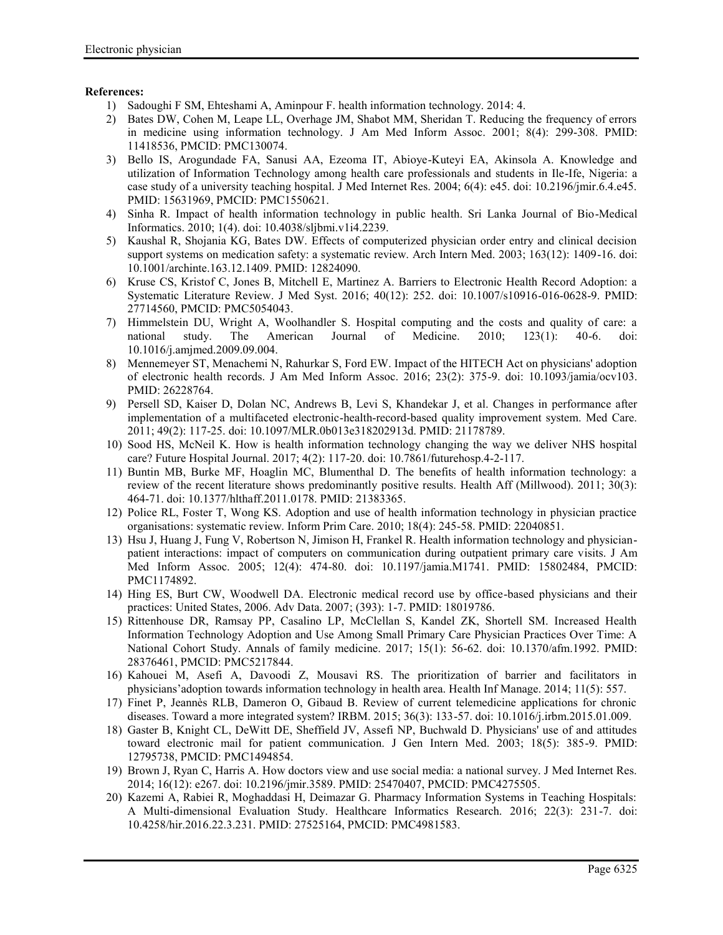## **References:**

- 1) Sadoughi F SM, Ehteshami A, Aminpour F. health information technology. 2014: 4.
- 2) Bates DW, Cohen M, Leape LL, Overhage JM, Shabot MM, Sheridan T. Reducing the frequency of errors in medicine using information technology. J Am Med Inform Assoc. 2001; 8(4): 299-308. PMID: 11418536, PMCID: PMC130074.
- 3) Bello IS, Arogundade FA, Sanusi AA, Ezeoma IT, Abioye-Kuteyi EA, Akinsola A. Knowledge and utilization of Information Technology among health care professionals and students in Ile-Ife, Nigeria: a case study of a university teaching hospital. J Med Internet Res. 2004; 6(4): e45. doi: 10.2196/jmir.6.4.e45. PMID: 15631969, PMCID: PMC1550621.
- 4) Sinha R. Impact of health information technology in public health. Sri Lanka Journal of Bio-Medical Informatics. 2010; 1(4). doi: 10.4038/sljbmi.v1i4.2239.
- 5) Kaushal R, Shojania KG, Bates DW. Effects of computerized physician order entry and clinical decision support systems on medication safety: a systematic review. Arch Intern Med. 2003; 163(12): 1409-16. doi: 10.1001/archinte.163.12.1409. PMID: 12824090.
- 6) Kruse CS, Kristof C, Jones B, Mitchell E, Martinez A. Barriers to Electronic Health Record Adoption: a Systematic Literature Review. J Med Syst. 2016; 40(12): 252. doi: 10.1007/s10916-016-0628-9. PMID: 27714560, PMCID: PMC5054043.
- 7) Himmelstein DU, Wright A, Woolhandler S. Hospital computing and the costs and quality of care: a national study. The American Journal of Medicine. 2010; 123(1): 40-6. doi: 10.1016/j.amjmed.2009.09.004.
- 8) Mennemeyer ST, Menachemi N, Rahurkar S, Ford EW. Impact of the HITECH Act on physicians' adoption of electronic health records. J Am Med Inform Assoc. 2016; 23(2): 375-9. doi: 10.1093/jamia/ocv103. PMID: 26228764.
- 9) Persell SD, Kaiser D, Dolan NC, Andrews B, Levi S, Khandekar J, et al. Changes in performance after implementation of a multifaceted electronic-health-record-based quality improvement system. Med Care. 2011; 49(2): 117-25. doi: 10.1097/MLR.0b013e318202913d. PMID: 21178789.
- 10) Sood HS, McNeil K. How is health information technology changing the way we deliver NHS hospital care? Future Hospital Journal. 2017; 4(2): 117-20. doi: 10.7861/futurehosp.4-2-117.
- 11) Buntin MB, Burke MF, Hoaglin MC, Blumenthal D. The benefits of health information technology: a review of the recent literature shows predominantly positive results. Health Aff (Millwood). 2011; 30(3): 464-71. doi: 10.1377/hlthaff.2011.0178. PMID: 21383365.
- 12) Police RL, Foster T, Wong KS. Adoption and use of health information technology in physician practice organisations: systematic review. Inform Prim Care. 2010; 18(4): 245-58. PMID: 22040851.
- 13) Hsu J, Huang J, Fung V, Robertson N, Jimison H, Frankel R. Health information technology and physician patient interactions: impact of computers on communication during outpatient primary care visits. J Am Med Inform Assoc. 2005; 12(4): 474-80. doi: 10.1197/jamia.M1741. PMID: 15802484, PMCID: PMC1174892.
- 14) Hing ES, Burt CW, Woodwell DA. Electronic medical record use by office-based physicians and their practices: United States, 2006. Adv Data. 2007; (393): 1-7. PMID: 18019786.
- 15) Rittenhouse DR, Ramsay PP, Casalino LP, McClellan S, Kandel ZK, Shortell SM. Increased Health Information Technology Adoption and Use Among Small Primary Care Physician Practices Over Time: A National Cohort Study. Annals of family medicine. 2017; 15(1): 56-62. doi: 10.1370/afm.1992. PMID: 28376461, PMCID: PMC5217844.
- 16) Kahouei M, Asefi A, Davoodi Z, Mousavi RS. The prioritization of barrier and facilitators in physicians'adoption towards information technology in health area. Health Inf Manage. 2014; 11(5): 557.
- 17) Finet P, Jeannès RLB, Dameron O, Gibaud B. Review of current telemedicine applications for chronic diseases. Toward a more integrated system? IRBM. 2015; 36(3): 133-57. doi: 10.1016/j.irbm.2015.01.009.
- 18) Gaster B, Knight CL, DeWitt DE, Sheffield JV, Assefi NP, Buchwald D. Physicians' use of and attitudes toward electronic mail for patient communication. J Gen Intern Med. 2003; 18(5): 385-9. PMID: 12795738, PMCID: PMC1494854.
- 19) Brown J, Ryan C, Harris A. How doctors view and use social media: a national survey. J Med Internet Res. 2014; 16(12): e267. doi: 10.2196/jmir.3589. PMID: 25470407, PMCID: PMC4275505.
- 20) Kazemi A, Rabiei R, Moghaddasi H, Deimazar G. Pharmacy Information Systems in Teaching Hospitals: A Multi-dimensional Evaluation Study. Healthcare Informatics Research. 2016; 22(3): 231-7. doi: 10.4258/hir.2016.22.3.231. PMID: 27525164, PMCID: PMC4981583.